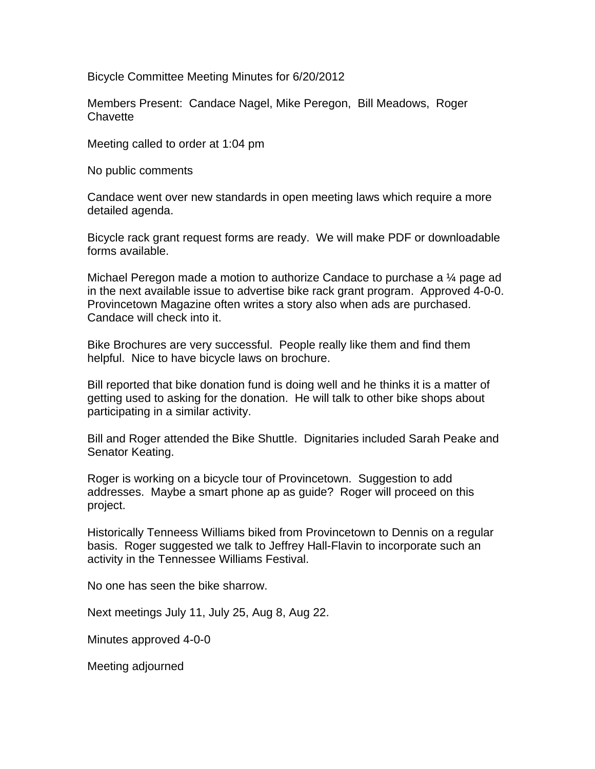Bicycle Committee Meeting Minutes for 6/20/2012

Members Present: Candace Nagel, Mike Peregon, Bill Meadows, Roger **Chavette** 

Meeting called to order at 1:04 pm

No public comments

Candace went over new standards in open meeting laws which require a more detailed agenda.

Bicycle rack grant request forms are ready. We will make PDF or downloadable forms available.

Michael Peregon made a motion to authorize Candace to purchase a ¼ page ad in the next available issue to advertise bike rack grant program. Approved 4-0-0. Provincetown Magazine often writes a story also when ads are purchased. Candace will check into it.

Bike Brochures are very successful. People really like them and find them helpful. Nice to have bicycle laws on brochure.

Bill reported that bike donation fund is doing well and he thinks it is a matter of getting used to asking for the donation. He will talk to other bike shops about participating in a similar activity.

Bill and Roger attended the Bike Shuttle. Dignitaries included Sarah Peake and Senator Keating.

Roger is working on a bicycle tour of Provincetown. Suggestion to add addresses. Maybe a smart phone ap as guide? Roger will proceed on this project.

Historically Tenneess Williams biked from Provincetown to Dennis on a regular basis. Roger suggested we talk to Jeffrey Hall-Flavin to incorporate such an activity in the Tennessee Williams Festival.

No one has seen the bike sharrow.

Next meetings July 11, July 25, Aug 8, Aug 22.

Minutes approved 4-0-0

Meeting adjourned